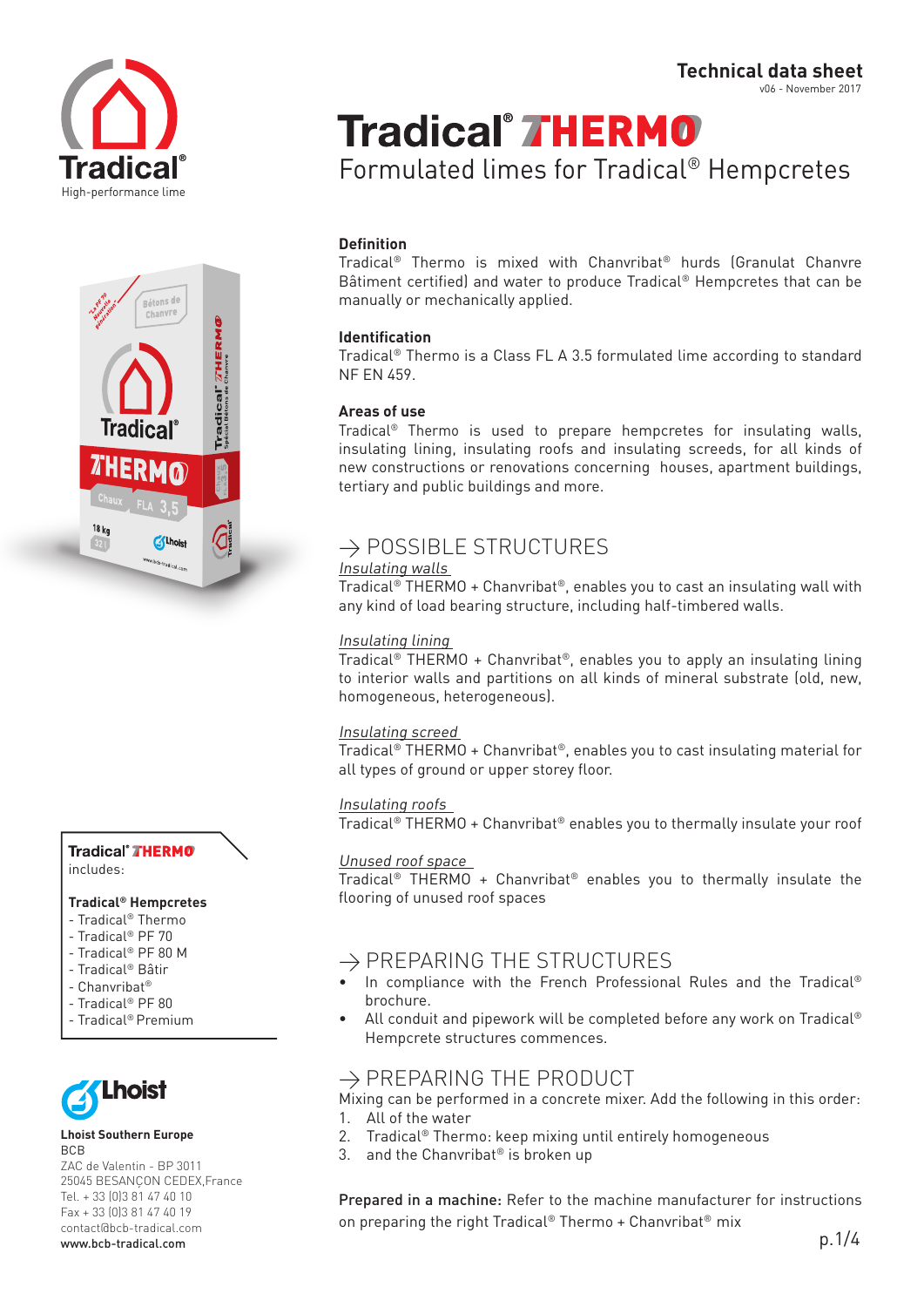



Tradical<sup>®</sup> THERMO includes:

#### **Tradical® Hempcretes**

- Tradical® Thermo
- Tradical® PF 70
- Tradical® PF 80 M
- Tradical® Bâtir
- Chanvribat®
- Tradical® PF 80
- Tradical® Premium



#### **Lhoist Southern Europe** BCB

ZAC de Valentin - BP 3011 25045 BESANÇON CEDEX,France Tel. + 33 (0)3 81 47 40 10 Fax + 33 (0)3 81 47 40 19 contact@bcb-tradical.com www.bcb-tradical.com

v06 - November 2017

# **Tradical<sup>®</sup> THERMO**

Formulated limes for Tradical® Hempcretes

# **Definition**

Tradical® Thermo is mixed with Chanvribat® hurds (Granulat Chanvre Bâtiment certified) and water to produce Tradical® Hempcretes that can be manually or mechanically applied.

## **Identification**

Tradical® Thermo is a Class FL A 3.5 formulated lime according to standard NF EN 459.

# **Areas of use**

Tradical® Thermo is used to prepare hempcretes for insulating walls, insulating lining, insulating roofs and insulating screeds, for all kinds of new constructions or renovations concerning houses, apartment buildings, tertiary and public buildings and more.

# $\rightarrow$  POSSIBLE STRUCTURES

# Insulating walls

Tradical® THERMO + Chanvribat®, enables you to cast an insulating wall with any kind of load bearing structure, including half-timbered walls.

## Insulating lining

Tradical® THERMO + Chanvribat®, enables you to apply an insulating lining to interior walls and partitions on all kinds of mineral substrate (old, new, homogeneous, heterogeneous).

## Insulating screed

Tradical® THERMO + Chanvribat®, enables you to cast insulating material for all types of ground or upper storey floor.

## Insulating roofs

Tradical® THERMO + Chanvribat® enables you to thermally insulate your roof

# Unused roof space

Tradical® THERMO + Chanvribat® enables you to thermally insulate the flooring of unused roof spaces

# $\rightarrow$  PREPARING THE STRUCTURES

- In compliance with the French Professional Rules and the Tradical® brochure.
- All conduit and pipework will be completed before any work on Tradical<sup>®</sup> Hempcrete structures commences.

# $\rightarrow$  PREPARING THE PRODUCT

Mixing can be performed in a concrete mixer. Add the following in this order: 1. All of the water

- 2. Tradical® Thermo: keep mixing until entirely homogeneous
- 3. and the Chanvribat<sup>®</sup> is broken up

Prepared in a machine: Refer to the machine manufacturer for instructions on preparing the right Tradical® Thermo + Chanvribat® mix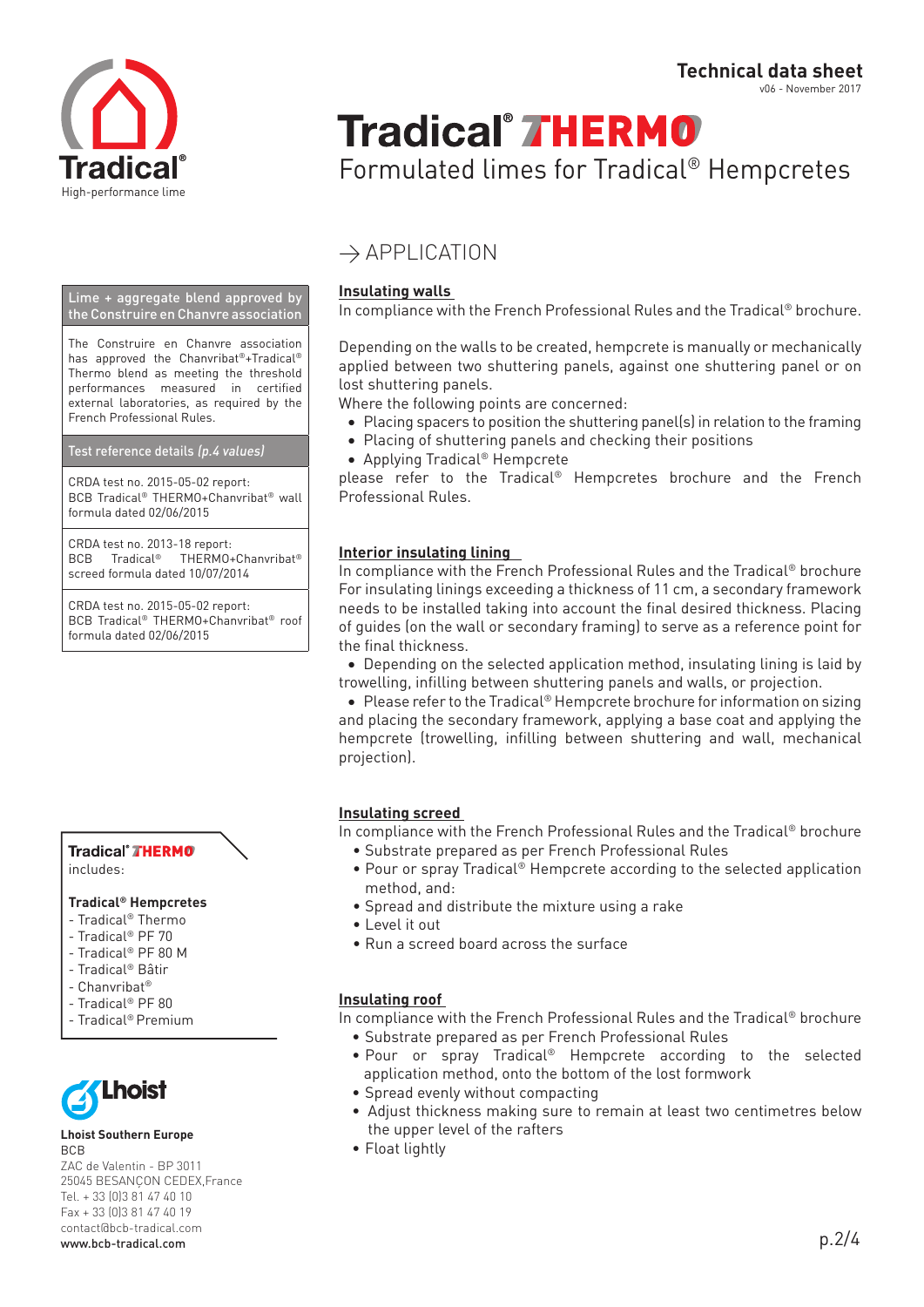

v06 - November 2017

# **Tradical<sup>®</sup> THERMO**

Formulated limes for Tradical® Hempcretes

# $\rightarrow$  APPLICATION

# **Insulating walls**

In compliance with the French Professional Rules and the Tradical® brochure.

Depending on the walls to be created, hempcrete is manually or mechanically applied between two shuttering panels, against one shuttering panel or on lost shuttering panels.

Where the following points are concerned:

- Placing spacers to position the shuttering panel(s) in relation to the framing
- Placing of shuttering panels and checking their positions
- • Applying Tradical® Hempcrete

please refer to the Tradical® Hempcretes brochure and the French Professional Rules.

# **Interior insulating lining**

In compliance with the French Professional Rules and the Tradical® brochure For insulating linings exceeding a thickness of 11 cm, a secondary framework needs to be installed taking into account the final desired thickness. Placing of guides (on the wall or secondary framing) to serve as a reference point for the final thickness.

• Depending on the selected application method, insulating lining is laid by trowelling, infilling between shuttering panels and walls, or projection.

● Please refer to the Tradical® Hempcrete brochure for information on sizing and placing the secondary framework, applying a base coat and applying the hempcrete (trowelling, infilling between shuttering and wall, mechanical projection).

# **Insulating screed**

In compliance with the French Professional Rules and the Tradical® brochure

- Substrate prepared as per French Professional Rules
- • Pour or spray Tradical® Hempcrete according to the selected application method, and:
- Spread and distribute the mixture using a rake
- I evel it out
- Run a screed board across the surface

# **Insulating roof**

In compliance with the French Professional Rules and the Tradical® brochure

- Substrate prepared as per French Professional Rules
- Pour or spray Tradical® Hempcrete according to the selected application method, onto the bottom of the lost formwork
- Spread evenly without compacting
- Adjust thickness making sure to remain at least two centimetres below the upper level of the rafters
- Float lightly

#### Lime + aggregate blend approved by the Construire en Chanvre association

The Construire en Chanvre association has approved the Chanvribat®+Tradical® Thermo blend as meeting the threshold performances measured in certified external laboratories, as required by the French Professional Rules.

### Test reference details (p.4 values)

CRDA test no. 2015-05-02 report: BCB Tradical® THERMO+Chanvribat® wall formula dated 02/06/2015

CRDA test no. 2013-18 report: BCB Tradical® THERMO+Chanvribat® screed formula dated 10/07/2014

CRDA test no. 2015-05-02 report: BCB Tradical® THERMO+Chanvribat® roof formula dated 02/06/2015

#### Tradical<sup>®</sup> THERMO includes:

# **Tradical® Hempcretes**

- Tradical® Thermo
- Tradical® PF 70
- Tradical® PF 80 M
- Tradical® Bâtir - Chanvribat®
- Tradical® PF 80
- Tradical® Premium



#### **Lhoist Southern Europe** BCB

ZAC de Valentin - BP 3011 25045 BESANÇON CEDEX,France Tel. + 33 (0)3 81 47 40 10 Fax + 33 (0)3 81 47 40 19 contact@bcb-tradical.com www.bcb-tradical.com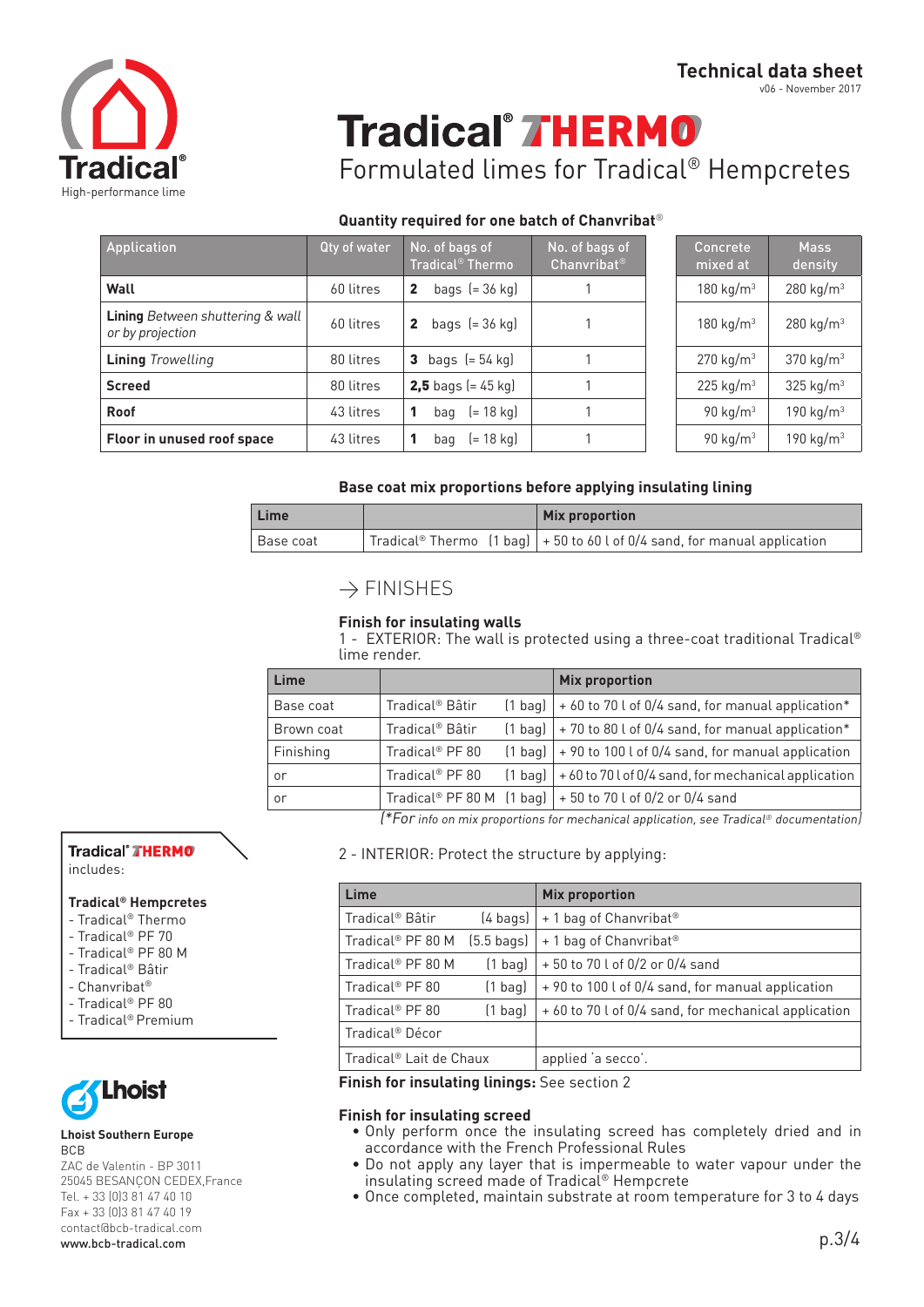

v06 - November 2017

# **Tradical<sup>®</sup> THERMO**

Formulated limes for Tradical® Hempcretes

# **Quantity required for one batch of Chanvribat**®

| Application                                                 | Qty of water | No. of bags of<br>$\operatorname{\sf Tradical}^{\scriptscriptstyle\otimes} \overline{\operatorname{\sf Thermo}}$ | No. of bags of<br>Chanvribat <sup>®</sup> | Concrete<br>mixed at  | <b>Mass</b><br>density  |
|-------------------------------------------------------------|--------------|------------------------------------------------------------------------------------------------------------------|-------------------------------------------|-----------------------|-------------------------|
| Wall                                                        | 60 litres    | bags $[= 36$ kg)<br>$\mathbf{2}$                                                                                 |                                           | 180 kg/ $m^3$         | 280 kg/m <sup>3</sup>   |
| <b>Lining</b> Between shuttering & wall<br>or by projection | 60 litres    | bags $[= 36$ kg)<br>$\mathbf{2}$                                                                                 |                                           | 180 kg/m <sup>3</sup> | 280 kg/m <sup>3</sup>   |
| <b>Lining</b> Trowelling                                    | 80 litres    | bags $[= 54$ kg)<br>3                                                                                            |                                           | 270 kg/m <sup>3</sup> | 370 kg/m <sup>3</sup>   |
| <b>Screed</b>                                               | 80 litres    | <b>2,5</b> bags $(= 45 \text{ kg})$                                                                              |                                           | 225 kg/ $m3$          | $325$ kg/m <sup>3</sup> |
| Roof                                                        | 43 litres    | (= 18 kg)<br>bag                                                                                                 |                                           | 90 kg/ $m3$           | 190 $kg/m3$             |
| Floor in unused roof space                                  | 43 litres    | (= 18 kg)<br>bag                                                                                                 |                                           | 90 kg/m <sup>3</sup>  | 190 kg/ $m3$            |

| Concrete<br>mixed at | <b>Mass</b><br>density |
|----------------------|------------------------|
| 180 $kg/m3$          | 280 kg/m <sup>3</sup>  |
| 180 $kg/m3$          | 280 kg/m <sup>3</sup>  |
| $270 \text{ kg/m}^3$ | 370 kg/m <sup>3</sup>  |
| $225 \text{ kg/m}^3$ | 325 kg/m <sup>3</sup>  |
| 90 kg/m <sup>3</sup> | 190 $kg/m3$            |
| 90 kg/m <sup>3</sup> | 190 kg/m <sup>3</sup>  |

## **Base coat mix proportions before applying insulating lining**

| Lime        |  |  | <b>Mix proportion</b>                                                           |  |  |
|-------------|--|--|---------------------------------------------------------------------------------|--|--|
| l Base coat |  |  | Tradical® Thermo $(1$ bag) $ $ + 50 to 60 l of 0/4 sand, for manual application |  |  |

# $\rightarrow$  FINISHES

## **Finish for insulating walls**

1 - EXTERIOR: The wall is protected using a three-coat traditional Tradical® lime render.

| Lime       |                             |           | <b>Mix proportion</b>                                               |
|------------|-----------------------------|-----------|---------------------------------------------------------------------|
| Base coat  | Tradical <sup>®</sup> Bâtir | $(1$ bag) | + 60 to 70 l of 0/4 sand, for manual application*                   |
| Brown coat | Tradical <sup>®</sup> Bâtir |           | $(1$ bag) $\vert$ + 70 to 80 l of 0/4 sand, for manual application* |
| Finishing  | Tradical <sup>®</sup> PF 80 |           | $(1$ bag) $  + 90$ to 100 l of 0/4 sand, for manual application     |
| or         | Tradical <sup>®</sup> PF 80 | $(1$ bag) | +60 to 70 l of 0/4 sand, for mechanical application                 |
| or         |                             |           | Tradical® PF 80 M $(1$ bag] $  + 50$ to 70 l of 0/2 or 0/4 sand     |

(\*For info on mix proportions for mechanical application, see Tradical® documentation)

2 - INTERIOR: Protect the structure by applying:

| Lime                          |                      | <b>Mix proportion</b>                                |
|-------------------------------|----------------------|------------------------------------------------------|
| Tradical <sup>®</sup> Bâtir   | $(4 \text{ bags})$   | + 1 bag of Chanvribat <sup>®</sup>                   |
| Tradical <sup>®</sup> PF 80 M | $(5.5 \text{ bags})$ | + 1 bag of Chanvribat <sup>®</sup>                   |
| Tradical <sup>®</sup> PF 80 M | $(1$ bag)            | +50 to 70 l of 0/2 or 0/4 sand                       |
| Tradical <sup>®</sup> PF 80   | $(1$ bag)            | +90 to 100 l of 0/4 sand, for manual application     |
| Tradical <sup>®</sup> PF 80   | $(1$ bag)            | + 60 to 70 l of 0/4 sand, for mechanical application |
| Tradical <sup>®</sup> Décor   |                      |                                                      |
| Tradical® Lait de Chaux       |                      | applied 'a secco'.                                   |

**Finish for insulating linings:** See section 2

### **Finish for insulating screed**

- Only perform once the insulating screed has completely dried and in accordance with the French Professional Rules
- Do not apply any layer that is impermeable to water vapour under the insulating screed made of Tradical® Hempcrete
- Once completed, maintain substrate at room temperature for 3 to 4 days

# Tradical<sup>®</sup> THERMO

includes:

# **Tradical® Hempcretes**

- Tradical® Thermo
- Tradical® PF 70
- Tradical® PF 80 M
- Tradical® Bâtir
- Chanvribat®
- Tradical® PF 80
- Tradical® Premium



#### **Lhoist Southern Europe** BCB

ZAC de Valentin - BP 3011 25045 BESANÇON CEDEX,France Tel. + 33 (0)3 81 47 40 10 Fax + 33 (0)3 81 47 40 19 contact@bcb-tradical.com www.bcb-tradical.com